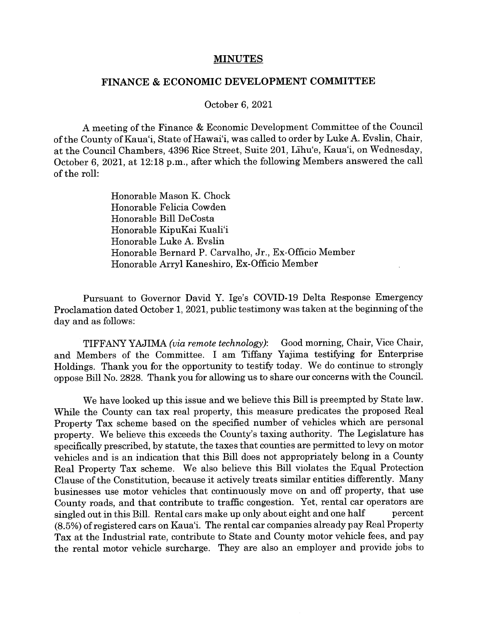## **MINUTES**

## FINANCE & ECONOMIC DEVELOPMENT COMMITTEE

October 6, 2021

A meeting of the Finance & Economic Development Committee of the Council of the County of Kaua'i, State of Hawai'i, was called to order by Luke A. Evslin, Chair, at the Council Chambers, 4396 Rice Street, Suite 201, LIhu'e, Kaua'i, on Wednesday, October 6, 2021, at 12:18 p.m., after which the following Members answered the call of the roll:

> Honorable Mason K. Chock Honorable Felicia Cowden Honorable Bill DeCosta Honorable KipuKai Kuali'i Honorable Luke A. Evslin Honorable Bernard P. Carvalho, Jr., Ex-Officio Member Honorable Arryl Kaneshiro, Ex-Officio Member <sup>V</sup>

Pursuant to Governor David Y. Ige's COVID-19 Delta Response Emergency Proclamation dated October 1, 2021, public testimony was taken at the beginning of the day and as follows:

TIFFANY YAJIMA (via remote technology): Good morning, Chair, Vice Chair, and Members of the Committee. I am Tiffany Yajima testifying for Enterprise Holdings. Thank you for the opportunity to testify today. We do continue to strongly oppose Bifi No. 2828. Thank you for allowing us to share our concerns with the Council.

We have looked up this issue and we believe this Bill is preempted by State law. While the County can tax real property, this measure predicates the proposed Real Property Tax scheme based on the specified number of vehicles which are personal property. We believe this exceeds the County's taxing authority. The Legislature has specifically prescribed, by statute, the taxes that counties are permitted to levy on motor vehicles and is an indication that this Bill does not appropriately belong in a County Real Property Tax scheme. We also believe this Bill violates the Equal Protection Clause of the Constitution, because it actively treats similar entities differently. Many businesses use motor vehicles that continuously move on and off property, that use County roads, and that contribute to traffic congestion. Yet, rental car operators are singled out in this Bill. Rental cars make up only about eight and one half percent (8.5%) ofregistered cars on Kaua'i. The rental car companies already pay Real Property Tax at the Industrial rate, contribute to State and County motor vehicle fees, and pay the rental motor vehicle surcharge. They are also an employer and provide jobs to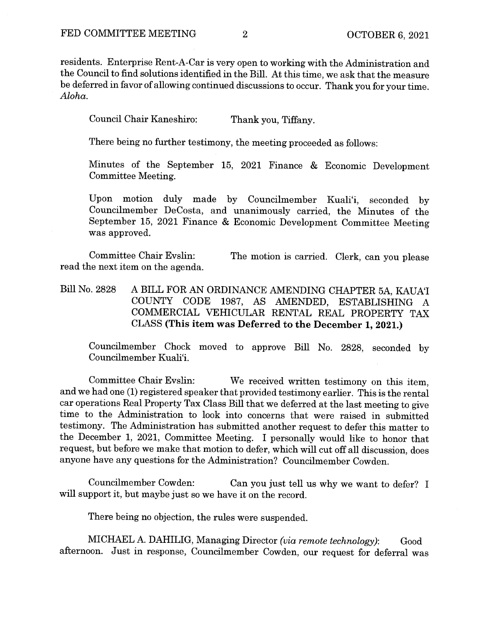residents. Enterprise Rent-A-Car is very open to working with the Administration and the Council to find solutions identified in the Bill. At this time, we ask that the measure be deferred in favor of allowing continued discussions to occur. Thank you for your time. Aloha.

Council Chair Kaneshiro: Thank you, Tiffany.

There being no further testimony, the meeting proceeded as follows:

Minutes of the September 15, 2021 Finance & Economic Development Committee Meeting.

Upon motion duly made by Councilmember Kuali'i, seconded by Councilmember DeCosta, and unanimously carried, the Minutes of the September 15, 2021 Finance & Economic Development Committee Meeting was approved.

Committee Chair Evslin: The motion is carried. Clerk, can you please read the next item on the agenda.

Bill No. 2828 A BILL FOR AN ORDINANCE AMENDING CHAPTER 5A, KAUA'I COUNTY CODE 1987, AS AMENDED, ESTABLISHING A COMMERCIAL VEHICULAR RENTAL REAL PROPERTY TAX CLASS (This item was Deferred to the December 1, 2021.)

Councilmember Chock moved to approve Bill No. 2828, seconded by Councilmember Kuali'i.

Committee Chair Evslin: We received written testimony on this item, and we had one (1) registered speaker that provided testimony earlier. This is the rental car operations Real Property Tax Class Bill that we deferred at the last meeting to give time to the Administration to look into concerns that were raised in submitted testimony. The Administration has submitted another request to defer this matter to the December 1, 2021, Committee Meeting. I personally would like to honor that request, but before we make that motion to defer, which will cut off all discussion, does anyone have any questions for the Administration? Councilmember Cowden.

Councilmember Cowden: Can you just tell us why we want to defer? I will support it, but maybe just so we have it on the record.

There being no objection, the rules were suspended.

MICHAEL A. DAHILIG, Managing Director (via remote technology): Good afternoon. Just in response, Councilmember Cowden, our request for deferral was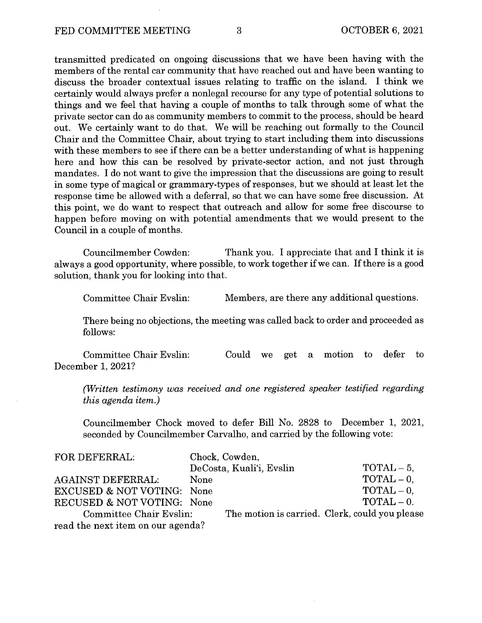transmitted predicated on ongoing discussions that we have been having with the members of the rental car community that have reached out and have been wanting to discuss the broader contextual issues relating to traffic on the island. I think we certainly would always prefer a nonlegal recourse for any type of potential solutions to things and we feel that having a couple of months to talk through some of what the private sector can do as community members to commit to the process, should be heard out. We certainly want to do that. We will be reaching out formally to the Council Chair and the Committee Chair, about trying to start including them into discussions with these members to see if there can be <sup>a</sup> better understanding of what is happening here and how this can be resolved by private-sector action, and not just through mandates. I do not want to give the impression that the discussions are going to result in some type of magical or grammary-types of responses, but we should at least let the response time be allowed with a deferral, so that we can have some free discussion. At this point, we do want to respect that outreach and allow for some free discourse to happen before moving on with potential amendments that we would present to the Council in a couple of months.

Councilmember Cowden: Thank you. I appreciate that and I think it is always a good opportunity, where possible, to work together if we can. If there is a good solution, thank you for looking into that.

Committee Chair Evslin: Members, are there any additional questions.

There being no objections, the meeting was called back to order and proceeded as follows:

Committee Chair Evslin: Could we get a motion to defer to December 1, 2021?

(Written testimony was received and one registered speaker testified regarding this agenda item.)

Councilmember Chock moved to defer Bill No. 2828 to December 1, 2021, seconded by Councilmember Carvalho, and carried by the following vote:

| FOR DEFERRAL:                         |      | Chock, Cowden,           |                                                |
|---------------------------------------|------|--------------------------|------------------------------------------------|
|                                       |      | DeCosta, Kuali'i, Evslin | $TOTAL-5$ .                                    |
| AGAINST DEFERRAL:                     | None |                          | $\text{TOTAL} - 0$ ,                           |
| <b>EXCUSED &amp; NOT VOTING: None</b> |      |                          | $TOTAL - 0.$                                   |
| RECUSED & NOT VOTING: None            |      |                          | $\text{TOTAL} - 0.$                            |
| Committee Chair Evslin:               |      |                          | The motion is carried. Clerk, could you please |
| read the next item on our agenda?     |      |                          |                                                |